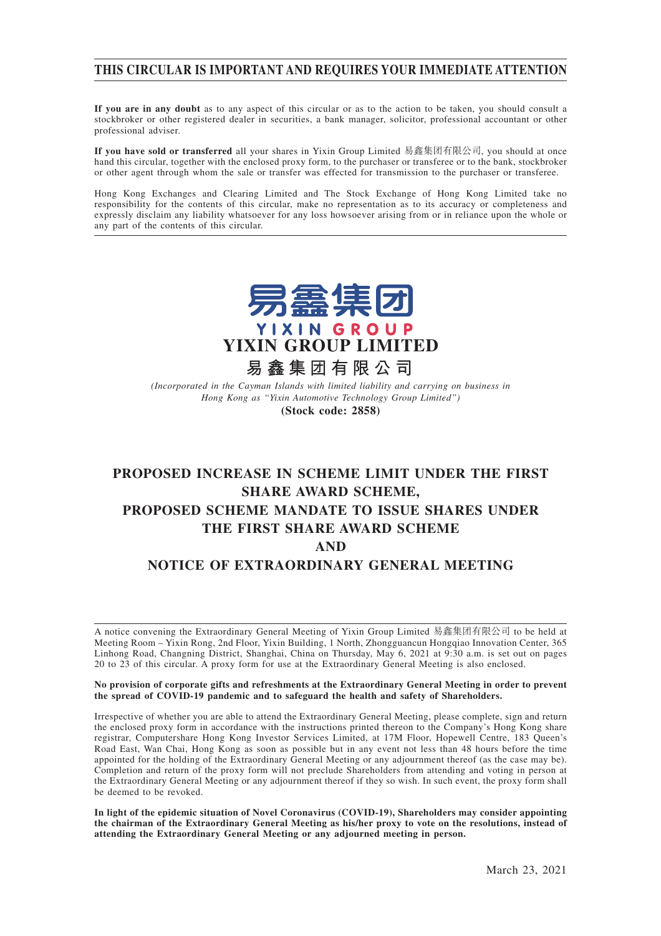## **THIS CIRCULAR IS IMPORTANT AND REQUIRES YOUR IMMEDIATE ATTENTION**

**If you are in any doubt** as to any aspect of this circular or as to the action to be taken, you should consult a stockbroker or other registered dealer in securities, a bank manager, solicitor, professional accountant or other professional adviser.

**If you have sold or transferred** all your shares in Yixin Group Limited 易鑫集團有限公司, you should at once hand this circular, together with the enclosed proxy form, to the purchaser or transferee or to the bank, stockbroker or other agent through whom the sale or transfer was effected for transmission to the purchaser or transferee.

Hong Kong Exchanges and Clearing Limited and The Stock Exchange of Hong Kong Limited take no responsibility for the contents of this circular, make no representation as to its accuracy or completeness and expressly disclaim any liability whatsoever for any loss howsoever arising from or in reliance upon the whole or any part of the contents of this circular.



*(Incorporated in the Cayman Islands with limited liability and carrying on business in Hong Kong as "Yixin Automotive Technology Group Limited")*

**(Stock code: 2858)**

# **PROPOSED INCREASE IN SCHEME LIMIT UNDER THE FIRST SHARE AWARD SCHEME, PROPOSED SCHEME MANDATE TO ISSUE SHARES UNDER THE FIRST SHARE AWARD SCHEME AND NOTICE OF EXTRAORDINARY GENERAL MEETING**

A notice convening the Extraordinary General Meeting of Yixin Group Limited 易鑫集團有限公司 to be held at Meeting Room – Yixin Rong, 2nd Floor, Yixin Building, 1 North, Zhongguancun Hongqiao Innovation Center, 365 Linhong Road, Changning District, Shanghai, China on Thursday, May 6, 2021 at 9:30 a.m. is set out on pages 20 to 23 of this circular. A proxy form for use at the Extraordinary General Meeting is also enclosed.

#### **No provision of corporate gifts and refreshments at the Extraordinary General Meeting in order to prevent the spread of COVID-19 pandemic and to safeguard the health and safety of Shareholders.**

Irrespective of whether you are able to attend the Extraordinary General Meeting, please complete, sign and return the enclosed proxy form in accordance with the instructions printed thereon to the Company's Hong Kong share registrar, Computershare Hong Kong Investor Services Limited, at 17M Floor, Hopewell Centre, 183 Queen's Road East, Wan Chai, Hong Kong as soon as possible but in any event not less than 48 hours before the time appointed for the holding of the Extraordinary General Meeting or any adjournment thereof (as the case may be). Completion and return of the proxy form will not preclude Shareholders from attending and voting in person at the Extraordinary General Meeting or any adjournment thereof if they so wish. In such event, the proxy form shall be deemed to be revoked.

**In light of the epidemic situation of Novel Coronavirus (COVID-19), Shareholders may consider appointing the chairman of the Extraordinary General Meeting as his/her proxy to vote on the resolutions, instead of attending the Extraordinary General Meeting or any adjourned meeting in person.**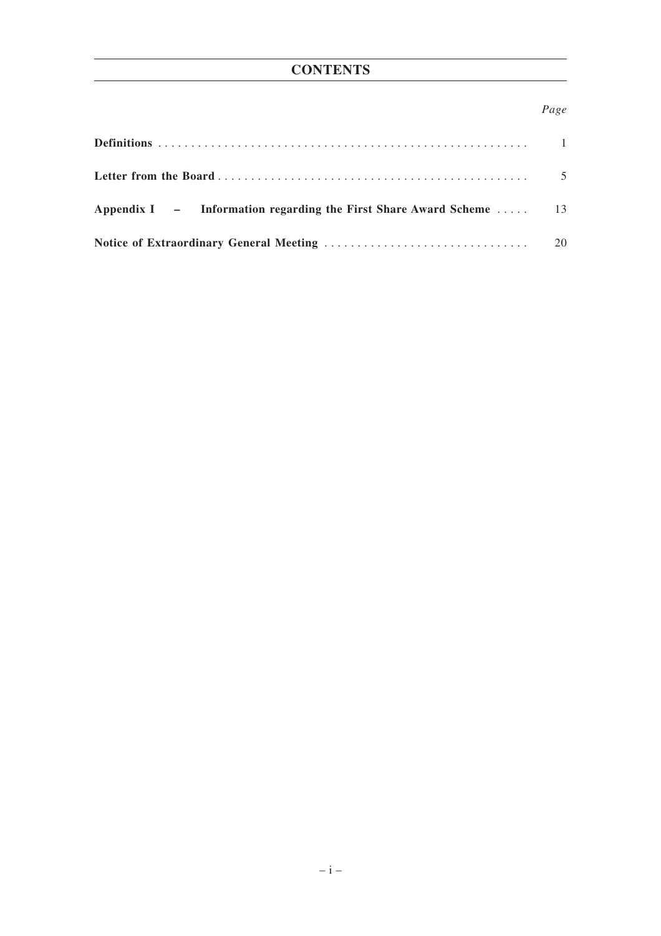## *Page*

| Appendix I $-$ Information regarding the First Share Award Scheme  13 |  |
|-----------------------------------------------------------------------|--|
|                                                                       |  |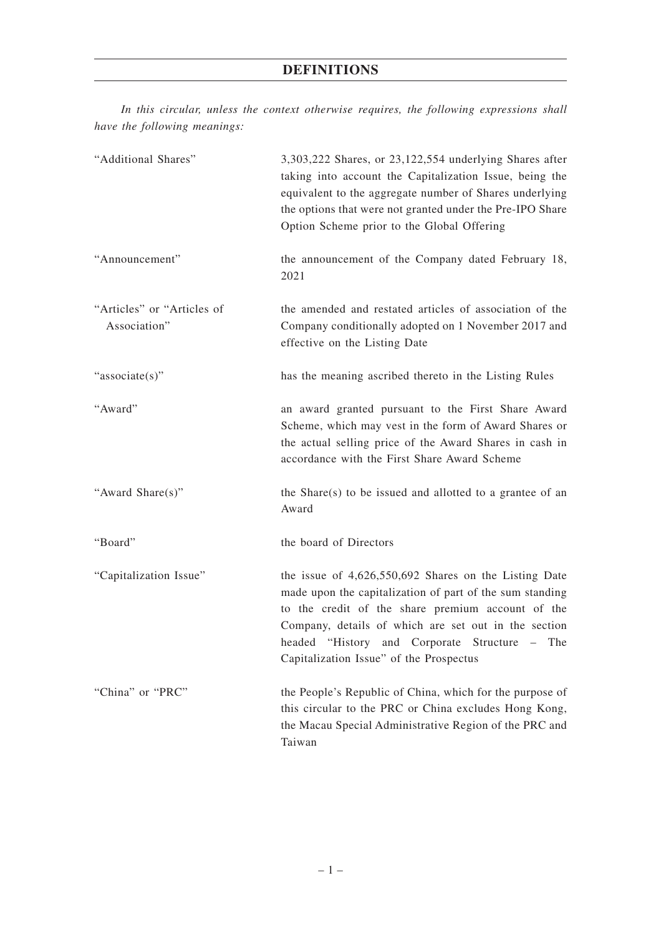*In this circular, unless the context otherwise requires, the following expressions shall have the following meanings:*

| "Additional Shares"                        | 3,303,222 Shares, or 23,122,554 underlying Shares after<br>taking into account the Capitalization Issue, being the<br>equivalent to the aggregate number of Shares underlying<br>the options that were not granted under the Pre-IPO Share<br>Option Scheme prior to the Global Offering                                     |
|--------------------------------------------|------------------------------------------------------------------------------------------------------------------------------------------------------------------------------------------------------------------------------------------------------------------------------------------------------------------------------|
| "Announcement"                             | the announcement of the Company dated February 18,<br>2021                                                                                                                                                                                                                                                                   |
| "Articles" or "Articles of<br>Association" | the amended and restated articles of association of the<br>Company conditionally adopted on 1 November 2017 and<br>effective on the Listing Date                                                                                                                                                                             |
| "associate(s)"                             | has the meaning ascribed thereto in the Listing Rules                                                                                                                                                                                                                                                                        |
| "Award"                                    | an award granted pursuant to the First Share Award<br>Scheme, which may vest in the form of Award Shares or<br>the actual selling price of the Award Shares in cash in<br>accordance with the First Share Award Scheme                                                                                                       |
| "Award Share(s)"                           | the Share(s) to be issued and allotted to a grantee of an<br>Award                                                                                                                                                                                                                                                           |
| "Board"                                    | the board of Directors                                                                                                                                                                                                                                                                                                       |
| "Capitalization Issue"                     | the issue of $4,626,550,692$ Shares on the Listing Date<br>made upon the capitalization of part of the sum standing<br>to the credit of the share premium account of the<br>Company, details of which are set out in the section<br>headed "History and Corporate Structure – The<br>Capitalization Issue" of the Prospectus |
| "China" or "PRC"                           | the People's Republic of China, which for the purpose of<br>this circular to the PRC or China excludes Hong Kong,<br>the Macau Special Administrative Region of the PRC and<br>Taiwan                                                                                                                                        |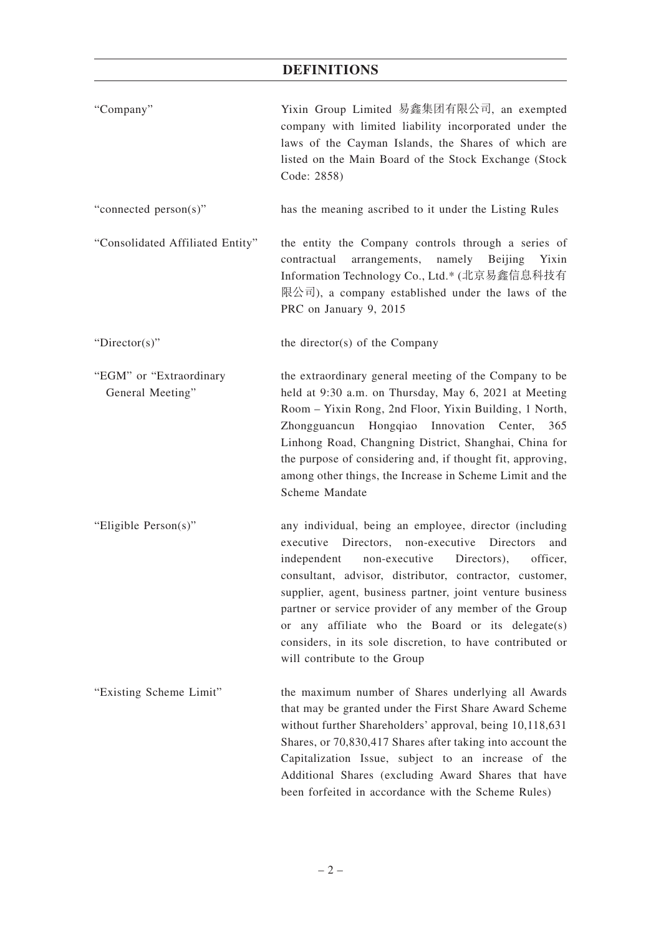# **DEFINITIONS**

| "Company"                                   | Yixin Group Limited 易鑫集团有限公司, an exempted<br>company with limited liability incorporated under the<br>laws of the Cayman Islands, the Shares of which are<br>listed on the Main Board of the Stock Exchange (Stock<br>Code: 2858)                                                                                                                                                                                                                                                                               |
|---------------------------------------------|-----------------------------------------------------------------------------------------------------------------------------------------------------------------------------------------------------------------------------------------------------------------------------------------------------------------------------------------------------------------------------------------------------------------------------------------------------------------------------------------------------------------|
| "connected person(s)"                       | has the meaning ascribed to it under the Listing Rules                                                                                                                                                                                                                                                                                                                                                                                                                                                          |
| "Consolidated Affiliated Entity"            | the entity the Company controls through a series of<br>arrangements,<br>namely<br>Beijing<br>Yixin<br>contractual<br>Information Technology Co., Ltd.* (北京易鑫信息科技有<br>限公司), a company established under the laws of the<br>PRC on January 9, 2015                                                                                                                                                                                                                                                                |
| "Director(s)"                               | the director(s) of the Company                                                                                                                                                                                                                                                                                                                                                                                                                                                                                  |
| "EGM" or "Extraordinary<br>General Meeting" | the extraordinary general meeting of the Company to be<br>held at 9:30 a.m. on Thursday, May 6, 2021 at Meeting<br>Room - Yixin Rong, 2nd Floor, Yixin Building, 1 North,<br>Zhongguancun Hongqiao Innovation Center, 365<br>Linhong Road, Changning District, Shanghai, China for<br>the purpose of considering and, if thought fit, approving,<br>among other things, the Increase in Scheme Limit and the<br>Scheme Mandate                                                                                  |
| "Eligible Person(s)"                        | any individual, being an employee, director (including<br>executive Directors, non-executive Directors<br>and<br>non-executive<br>Directors),<br>officer,<br>independent<br>consultant, advisor, distributor, contractor, customer,<br>supplier, agent, business partner, joint venture business<br>partner or service provider of any member of the Group<br>any affiliate who the Board or its delegate(s)<br>or<br>considers, in its sole discretion, to have contributed or<br>will contribute to the Group |
| "Existing Scheme Limit"                     | the maximum number of Shares underlying all Awards<br>that may be granted under the First Share Award Scheme<br>without further Shareholders' approval, being 10,118,631<br>Shares, or 70,830,417 Shares after taking into account the<br>Capitalization Issue, subject to an increase of the<br>Additional Shares (excluding Award Shares that have<br>been forfeited in accordance with the Scheme Rules)                                                                                                     |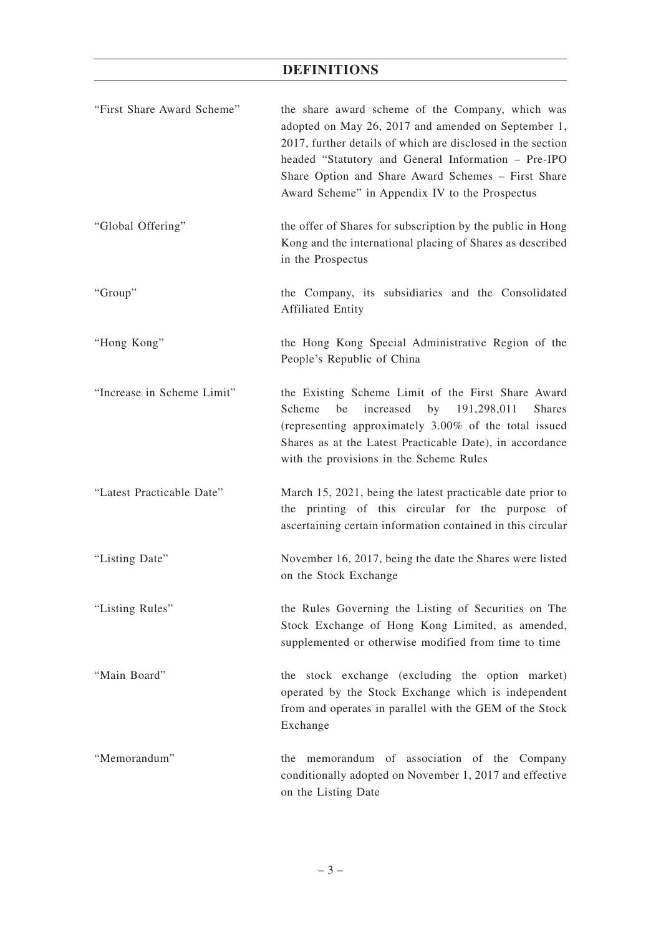# **DEFINITIONS**

| "First Share Award Scheme" | the share award scheme of the Company, which was<br>adopted on May 26, 2017 and amended on September 1,<br>2017, further details of which are disclosed in the section<br>headed "Statutory and General Information - Pre-IPO<br>Share Option and Share Award Schemes - First Share<br>Award Scheme" in Appendix IV to the Prospectus |
|----------------------------|---------------------------------------------------------------------------------------------------------------------------------------------------------------------------------------------------------------------------------------------------------------------------------------------------------------------------------------|
| "Global Offering"          | the offer of Shares for subscription by the public in Hong<br>Kong and the international placing of Shares as described<br>in the Prospectus                                                                                                                                                                                          |
| "Group"                    | the Company, its subsidiaries and the Consolidated<br><b>Affiliated Entity</b>                                                                                                                                                                                                                                                        |
| "Hong Kong"                | the Hong Kong Special Administrative Region of the<br>People's Republic of China                                                                                                                                                                                                                                                      |
| "Increase in Scheme Limit" | the Existing Scheme Limit of the First Share Award<br>increased<br>Scheme<br>be<br>by 191,298,011<br><b>Shares</b><br>(representing approximately 3.00% of the total issued<br>Shares as at the Latest Practicable Date), in accordance<br>with the provisions in the Scheme Rules                                                    |
| "Latest Practicable Date"  | March 15, 2021, being the latest practicable date prior to<br>the printing of this circular for the purpose of<br>ascertaining certain information contained in this circular                                                                                                                                                         |
| "Listing Date"             | November 16, 2017, being the date the Shares were listed<br>on the Stock Exchange                                                                                                                                                                                                                                                     |
| "Listing Rules"            | the Rules Governing the Listing of Securities on The<br>Stock Exchange of Hong Kong Limited, as amended,<br>supplemented or otherwise modified from time to time                                                                                                                                                                      |
| "Main Board"               | the stock exchange (excluding the option market)<br>operated by the Stock Exchange which is independent<br>from and operates in parallel with the GEM of the Stock<br>Exchange                                                                                                                                                        |
| "Memorandum"               | the memorandum of association of the Company<br>conditionally adopted on November 1, 2017 and effective<br>on the Listing Date                                                                                                                                                                                                        |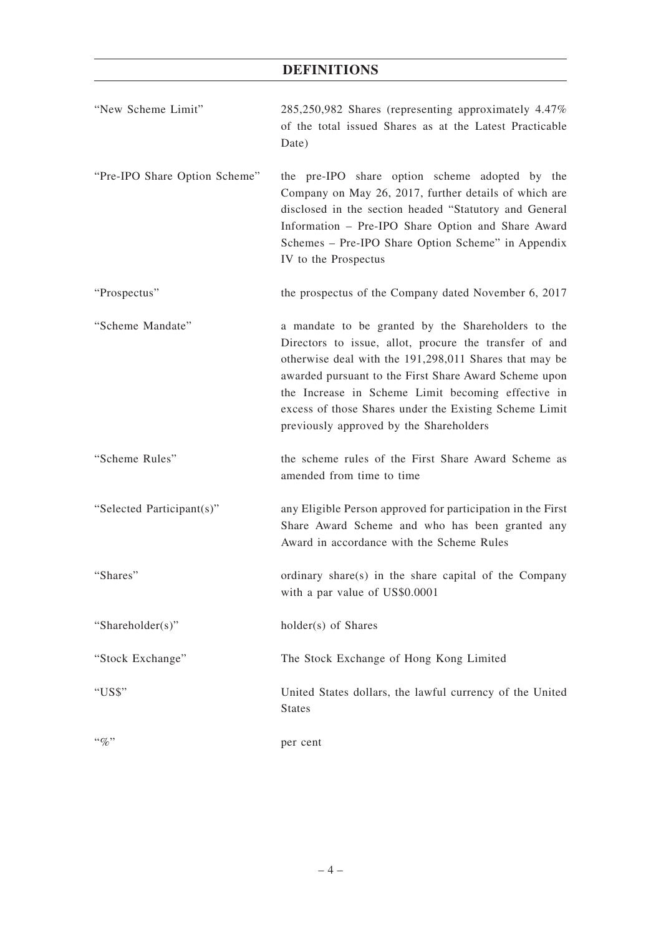# **DEFINITIONS**

| "New Scheme Limit"            | 285,250,982 Shares (representing approximately 4.47%)<br>of the total issued Shares as at the Latest Practicable<br>Date)                                                                                                                                                                                                                                                                  |
|-------------------------------|--------------------------------------------------------------------------------------------------------------------------------------------------------------------------------------------------------------------------------------------------------------------------------------------------------------------------------------------------------------------------------------------|
| "Pre-IPO Share Option Scheme" | the pre-IPO share option scheme adopted by the<br>Company on May 26, 2017, further details of which are<br>disclosed in the section headed "Statutory and General<br>Information - Pre-IPO Share Option and Share Award<br>Schemes - Pre-IPO Share Option Scheme" in Appendix<br>IV to the Prospectus                                                                                      |
| "Prospectus"                  | the prospectus of the Company dated November 6, 2017                                                                                                                                                                                                                                                                                                                                       |
| "Scheme Mandate"              | a mandate to be granted by the Shareholders to the<br>Directors to issue, allot, procure the transfer of and<br>otherwise deal with the 191,298,011 Shares that may be<br>awarded pursuant to the First Share Award Scheme upon<br>the Increase in Scheme Limit becoming effective in<br>excess of those Shares under the Existing Scheme Limit<br>previously approved by the Shareholders |
| "Scheme Rules"                | the scheme rules of the First Share Award Scheme as<br>amended from time to time                                                                                                                                                                                                                                                                                                           |
| "Selected Participant(s)"     | any Eligible Person approved for participation in the First<br>Share Award Scheme and who has been granted any<br>Award in accordance with the Scheme Rules                                                                                                                                                                                                                                |
| "Shares"                      | ordinary share(s) in the share capital of the Company<br>with a par value of US\$0.0001                                                                                                                                                                                                                                                                                                    |
| "Shareholder(s)"              | holder(s) of Shares                                                                                                                                                                                                                                                                                                                                                                        |
| "Stock Exchange"              | The Stock Exchange of Hong Kong Limited                                                                                                                                                                                                                                                                                                                                                    |
| "US\$"                        | United States dollars, the lawful currency of the United<br><b>States</b>                                                                                                                                                                                                                                                                                                                  |
| $``\%"$                       | per cent                                                                                                                                                                                                                                                                                                                                                                                   |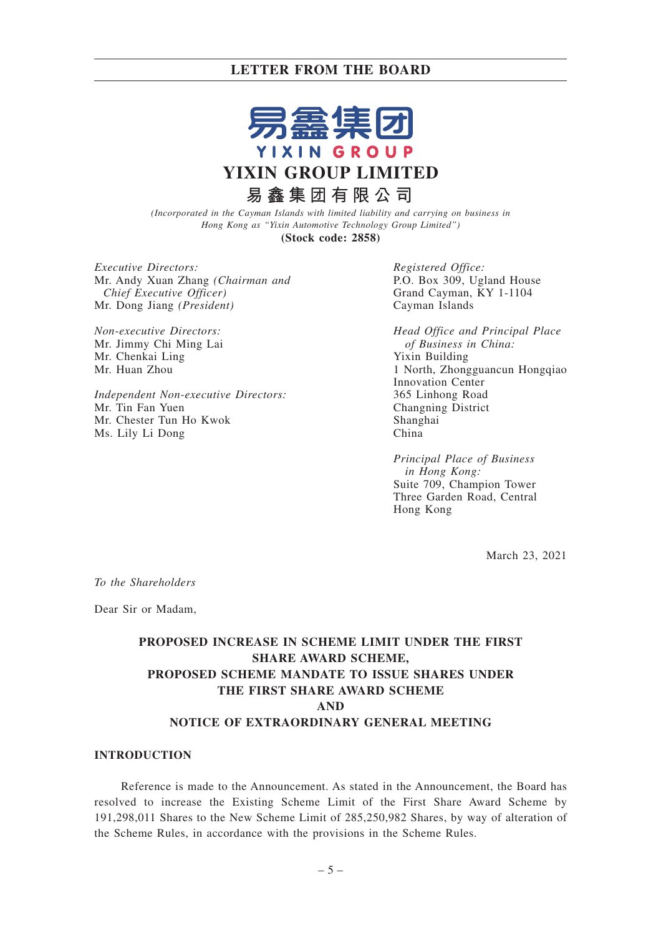

*(Incorporated in the Cayman Islands with limited liability and carrying on business in Hong Kong as "Yixin Automotive Technology Group Limited")* **(Stock code: 2858)**

*Executive Directors:* Mr. Andy Xuan Zhang *(Chairman and Chief Executive Officer)*

*Non-executive Directors:* Mr. Jimmy Chi Ming Lai Mr. Chenkai Ling Mr. Huan Zhou

Mr. Dong Jiang *(President)*

*Independent Non-executive Directors:* Mr. Tin Fan Yuen Mr. Chester Tun Ho Kwok Ms. Lily Li Dong

*Registered Office:* P.O. Box 309, Ugland House Grand Cayman, KY 1-1104 Cayman Islands

*Head Office and Principal Place of Business in China:* Yixin Building 1 North, Zhongguancun Hongqiao Innovation Center 365 Linhong Road Changning District Shanghai China

*Principal Place of Business in Hong Kong:* Suite 709, Champion Tower Three Garden Road, Central Hong Kong

March 23, 2021

*To the Shareholders*

Dear Sir or Madam,

## **PROPOSED INCREASE IN SCHEME LIMIT UNDER THE FIRST SHARE AWARD SCHEME, PROPOSED SCHEME MANDATE TO ISSUE SHARES UNDER THE FIRST SHARE AWARD SCHEME AND NOTICE OF EXTRAORDINARY GENERAL MEETING**

#### **INTRODUCTION**

Reference is made to the Announcement. As stated in the Announcement, the Board has resolved to increase the Existing Scheme Limit of the First Share Award Scheme by 191,298,011 Shares to the New Scheme Limit of 285,250,982 Shares, by way of alteration of the Scheme Rules, in accordance with the provisions in the Scheme Rules.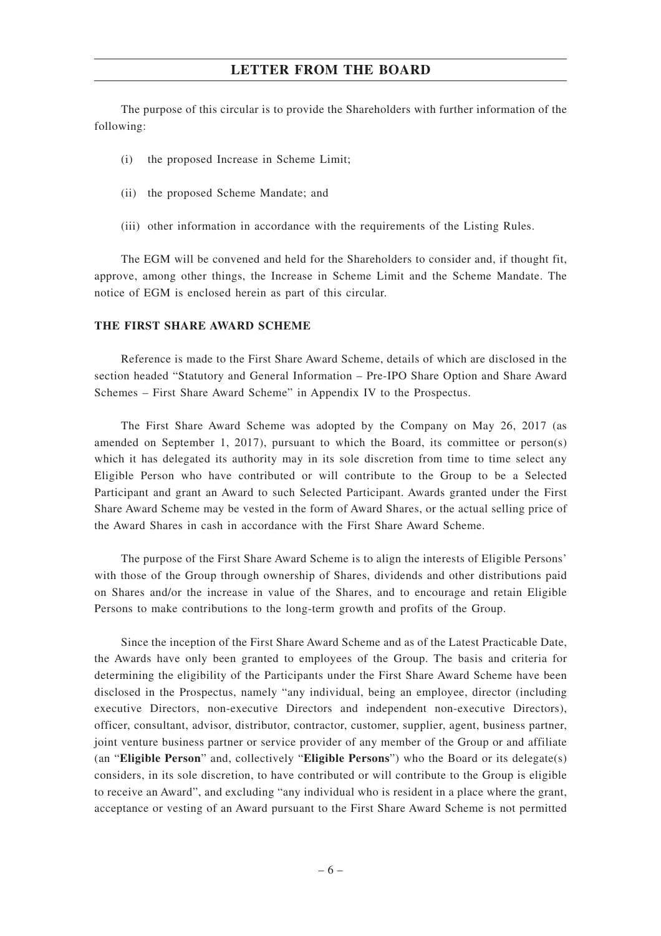The purpose of this circular is to provide the Shareholders with further information of the following:

- (i) the proposed Increase in Scheme Limit;
- (ii) the proposed Scheme Mandate; and
- (iii) other information in accordance with the requirements of the Listing Rules.

The EGM will be convened and held for the Shareholders to consider and, if thought fit, approve, among other things, the Increase in Scheme Limit and the Scheme Mandate. The notice of EGM is enclosed herein as part of this circular.

#### **THE FIRST SHARE AWARD SCHEME**

Reference is made to the First Share Award Scheme, details of which are disclosed in the section headed "Statutory and General Information – Pre-IPO Share Option and Share Award Schemes – First Share Award Scheme" in Appendix IV to the Prospectus.

The First Share Award Scheme was adopted by the Company on May 26, 2017 (as amended on September 1, 2017), pursuant to which the Board, its committee or person(s) which it has delegated its authority may in its sole discretion from time to time select any Eligible Person who have contributed or will contribute to the Group to be a Selected Participant and grant an Award to such Selected Participant. Awards granted under the First Share Award Scheme may be vested in the form of Award Shares, or the actual selling price of the Award Shares in cash in accordance with the First Share Award Scheme.

The purpose of the First Share Award Scheme is to align the interests of Eligible Persons' with those of the Group through ownership of Shares, dividends and other distributions paid on Shares and/or the increase in value of the Shares, and to encourage and retain Eligible Persons to make contributions to the long-term growth and profits of the Group.

Since the inception of the First Share Award Scheme and as of the Latest Practicable Date, the Awards have only been granted to employees of the Group. The basis and criteria for determining the eligibility of the Participants under the First Share Award Scheme have been disclosed in the Prospectus, namely "any individual, being an employee, director (including executive Directors, non-executive Directors and independent non-executive Directors), officer, consultant, advisor, distributor, contractor, customer, supplier, agent, business partner, joint venture business partner or service provider of any member of the Group or and affiliate (an "**Eligible Person**" and, collectively "**Eligible Persons**") who the Board or its delegate(s) considers, in its sole discretion, to have contributed or will contribute to the Group is eligible to receive an Award", and excluding "any individual who is resident in a place where the grant, acceptance or vesting of an Award pursuant to the First Share Award Scheme is not permitted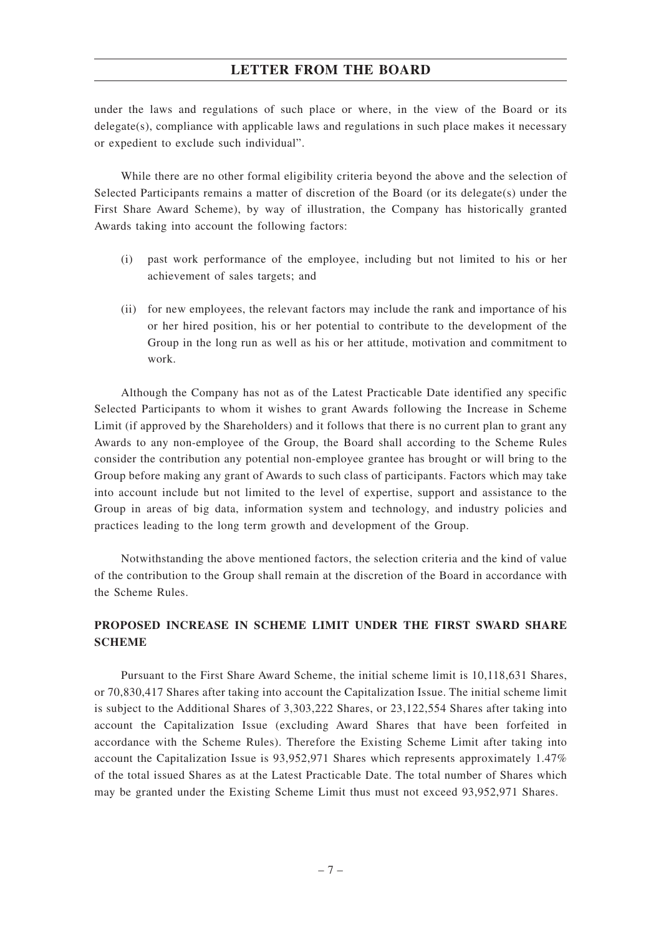under the laws and regulations of such place or where, in the view of the Board or its delegate(s), compliance with applicable laws and regulations in such place makes it necessary or expedient to exclude such individual".

While there are no other formal eligibility criteria beyond the above and the selection of Selected Participants remains a matter of discretion of the Board (or its delegate(s) under the First Share Award Scheme), by way of illustration, the Company has historically granted Awards taking into account the following factors:

- (i) past work performance of the employee, including but not limited to his or her achievement of sales targets; and
- (ii) for new employees, the relevant factors may include the rank and importance of his or her hired position, his or her potential to contribute to the development of the Group in the long run as well as his or her attitude, motivation and commitment to work.

Although the Company has not as of the Latest Practicable Date identified any specific Selected Participants to whom it wishes to grant Awards following the Increase in Scheme Limit (if approved by the Shareholders) and it follows that there is no current plan to grant any Awards to any non-employee of the Group, the Board shall according to the Scheme Rules consider the contribution any potential non-employee grantee has brought or will bring to the Group before making any grant of Awards to such class of participants. Factors which may take into account include but not limited to the level of expertise, support and assistance to the Group in areas of big data, information system and technology, and industry policies and practices leading to the long term growth and development of the Group.

Notwithstanding the above mentioned factors, the selection criteria and the kind of value of the contribution to the Group shall remain at the discretion of the Board in accordance with the Scheme Rules.

## **PROPOSED INCREASE IN SCHEME LIMIT UNDER THE FIRST SWARD SHARE SCHEME**

Pursuant to the First Share Award Scheme, the initial scheme limit is 10,118,631 Shares, or 70,830,417 Shares after taking into account the Capitalization Issue. The initial scheme limit is subject to the Additional Shares of 3,303,222 Shares, or 23,122,554 Shares after taking into account the Capitalization Issue (excluding Award Shares that have been forfeited in accordance with the Scheme Rules). Therefore the Existing Scheme Limit after taking into account the Capitalization Issue is 93,952,971 Shares which represents approximately 1.47% of the total issued Shares as at the Latest Practicable Date. The total number of Shares which may be granted under the Existing Scheme Limit thus must not exceed 93,952,971 Shares.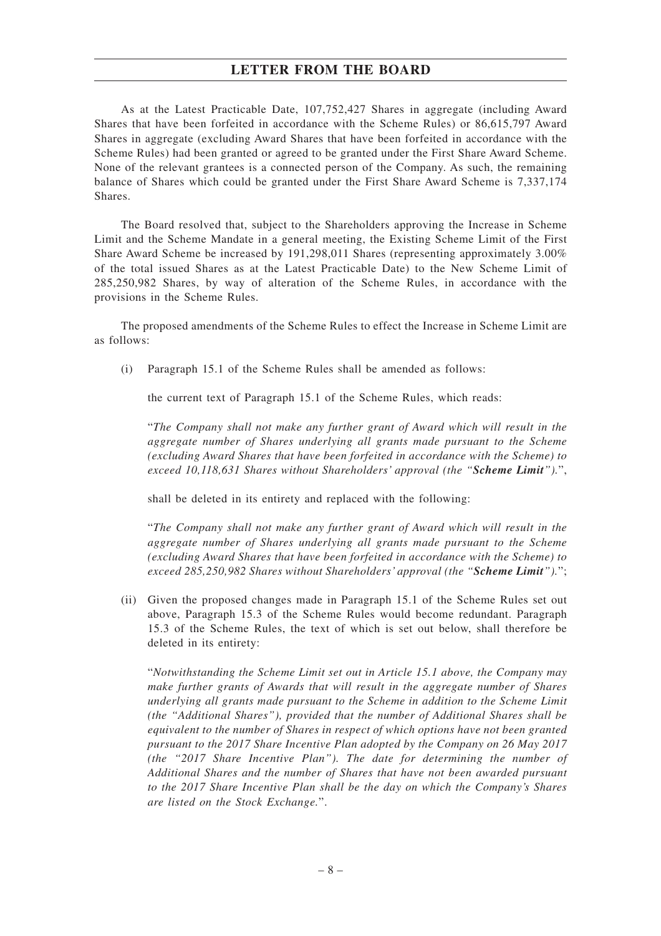As at the Latest Practicable Date, 107,752,427 Shares in aggregate (including Award Shares that have been forfeited in accordance with the Scheme Rules) or 86,615,797 Award Shares in aggregate (excluding Award Shares that have been forfeited in accordance with the Scheme Rules) had been granted or agreed to be granted under the First Share Award Scheme. None of the relevant grantees is a connected person of the Company. As such, the remaining balance of Shares which could be granted under the First Share Award Scheme is 7,337,174 Shares.

The Board resolved that, subject to the Shareholders approving the Increase in Scheme Limit and the Scheme Mandate in a general meeting, the Existing Scheme Limit of the First Share Award Scheme be increased by 191,298,011 Shares (representing approximately 3.00% of the total issued Shares as at the Latest Practicable Date) to the New Scheme Limit of 285,250,982 Shares, by way of alteration of the Scheme Rules, in accordance with the provisions in the Scheme Rules.

The proposed amendments of the Scheme Rules to effect the Increase in Scheme Limit are as follows:

(i) Paragraph 15.1 of the Scheme Rules shall be amended as follows:

the current text of Paragraph 15.1 of the Scheme Rules, which reads:

"*The Company shall not make any further grant of Award which will result in the aggregate number of Shares underlying all grants made pursuant to the Scheme (excluding Award Shares that have been forfeited in accordance with the Scheme) to exceed 10,118,631 Shares without Shareholders' approval (the "Scheme Limit").*",

shall be deleted in its entirety and replaced with the following:

"*The Company shall not make any further grant of Award which will result in the aggregate number of Shares underlying all grants made pursuant to the Scheme (excluding Award Shares that have been forfeited in accordance with the Scheme) to exceed 285,250,982 Shares without Shareholders' approval (the "Scheme Limit").*";

(ii) Given the proposed changes made in Paragraph 15.1 of the Scheme Rules set out above, Paragraph 15.3 of the Scheme Rules would become redundant. Paragraph 15.3 of the Scheme Rules, the text of which is set out below, shall therefore be deleted in its entirety:

"*Notwithstanding the Scheme Limit set out in Article 15.1 above, the Company may make further grants of Awards that will result in the aggregate number of Shares underlying all grants made pursuant to the Scheme in addition to the Scheme Limit (the "Additional Shares"), provided that the number of Additional Shares shall be equivalent to the number of Shares in respect of which options have not been granted pursuant to the 2017 Share Incentive Plan adopted by the Company on 26 May 2017 (the "2017 Share Incentive Plan"). The date for determining the number of Additional Shares and the number of Shares that have not been awarded pursuant to the 2017 Share Incentive Plan shall be the day on which the Company's Shares are listed on the Stock Exchange.*".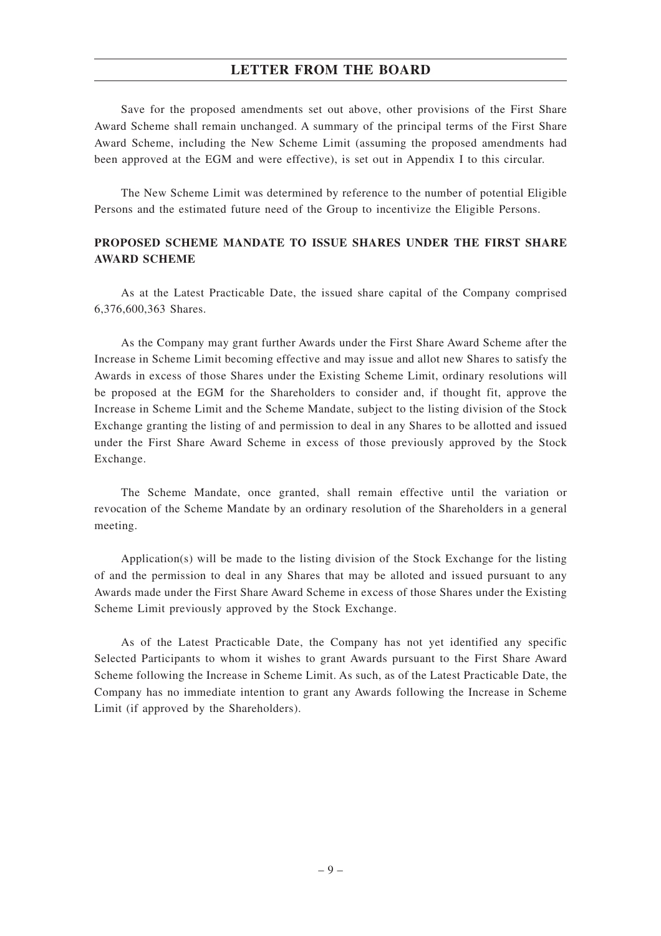Save for the proposed amendments set out above, other provisions of the First Share Award Scheme shall remain unchanged. A summary of the principal terms of the First Share Award Scheme, including the New Scheme Limit (assuming the proposed amendments had been approved at the EGM and were effective), is set out in Appendix I to this circular.

The New Scheme Limit was determined by reference to the number of potential Eligible Persons and the estimated future need of the Group to incentivize the Eligible Persons.

## **PROPOSED SCHEME MANDATE TO ISSUE SHARES UNDER THE FIRST SHARE AWARD SCHEME**

As at the Latest Practicable Date, the issued share capital of the Company comprised 6,376,600,363 Shares.

As the Company may grant further Awards under the First Share Award Scheme after the Increase in Scheme Limit becoming effective and may issue and allot new Shares to satisfy the Awards in excess of those Shares under the Existing Scheme Limit, ordinary resolutions will be proposed at the EGM for the Shareholders to consider and, if thought fit, approve the Increase in Scheme Limit and the Scheme Mandate, subject to the listing division of the Stock Exchange granting the listing of and permission to deal in any Shares to be allotted and issued under the First Share Award Scheme in excess of those previously approved by the Stock Exchange.

The Scheme Mandate, once granted, shall remain effective until the variation or revocation of the Scheme Mandate by an ordinary resolution of the Shareholders in a general meeting.

Application(s) will be made to the listing division of the Stock Exchange for the listing of and the permission to deal in any Shares that may be alloted and issued pursuant to any Awards made under the First Share Award Scheme in excess of those Shares under the Existing Scheme Limit previously approved by the Stock Exchange.

As of the Latest Practicable Date, the Company has not yet identified any specific Selected Participants to whom it wishes to grant Awards pursuant to the First Share Award Scheme following the Increase in Scheme Limit. As such, as of the Latest Practicable Date, the Company has no immediate intention to grant any Awards following the Increase in Scheme Limit (if approved by the Shareholders).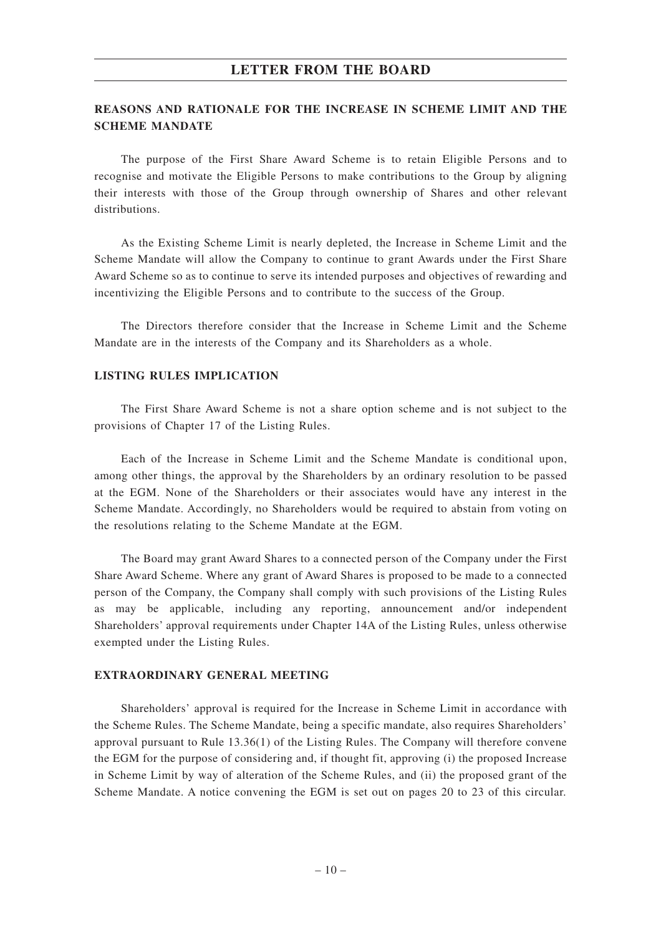## **REASONS AND RATIONALE FOR THE INCREASE IN SCHEME LIMIT AND THE SCHEME MANDATE**

The purpose of the First Share Award Scheme is to retain Eligible Persons and to recognise and motivate the Eligible Persons to make contributions to the Group by aligning their interests with those of the Group through ownership of Shares and other relevant distributions.

As the Existing Scheme Limit is nearly depleted, the Increase in Scheme Limit and the Scheme Mandate will allow the Company to continue to grant Awards under the First Share Award Scheme so as to continue to serve its intended purposes and objectives of rewarding and incentivizing the Eligible Persons and to contribute to the success of the Group.

The Directors therefore consider that the Increase in Scheme Limit and the Scheme Mandate are in the interests of the Company and its Shareholders as a whole.

#### **LISTING RULES IMPLICATION**

The First Share Award Scheme is not a share option scheme and is not subject to the provisions of Chapter 17 of the Listing Rules.

Each of the Increase in Scheme Limit and the Scheme Mandate is conditional upon, among other things, the approval by the Shareholders by an ordinary resolution to be passed at the EGM. None of the Shareholders or their associates would have any interest in the Scheme Mandate. Accordingly, no Shareholders would be required to abstain from voting on the resolutions relating to the Scheme Mandate at the EGM.

The Board may grant Award Shares to a connected person of the Company under the First Share Award Scheme. Where any grant of Award Shares is proposed to be made to a connected person of the Company, the Company shall comply with such provisions of the Listing Rules as may be applicable, including any reporting, announcement and/or independent Shareholders' approval requirements under Chapter 14A of the Listing Rules, unless otherwise exempted under the Listing Rules.

### **EXTRAORDINARY GENERAL MEETING**

Shareholders' approval is required for the Increase in Scheme Limit in accordance with the Scheme Rules. The Scheme Mandate, being a specific mandate, also requires Shareholders' approval pursuant to Rule 13.36(1) of the Listing Rules. The Company will therefore convene the EGM for the purpose of considering and, if thought fit, approving (i) the proposed Increase in Scheme Limit by way of alteration of the Scheme Rules, and (ii) the proposed grant of the Scheme Mandate. A notice convening the EGM is set out on pages 20 to 23 of this circular.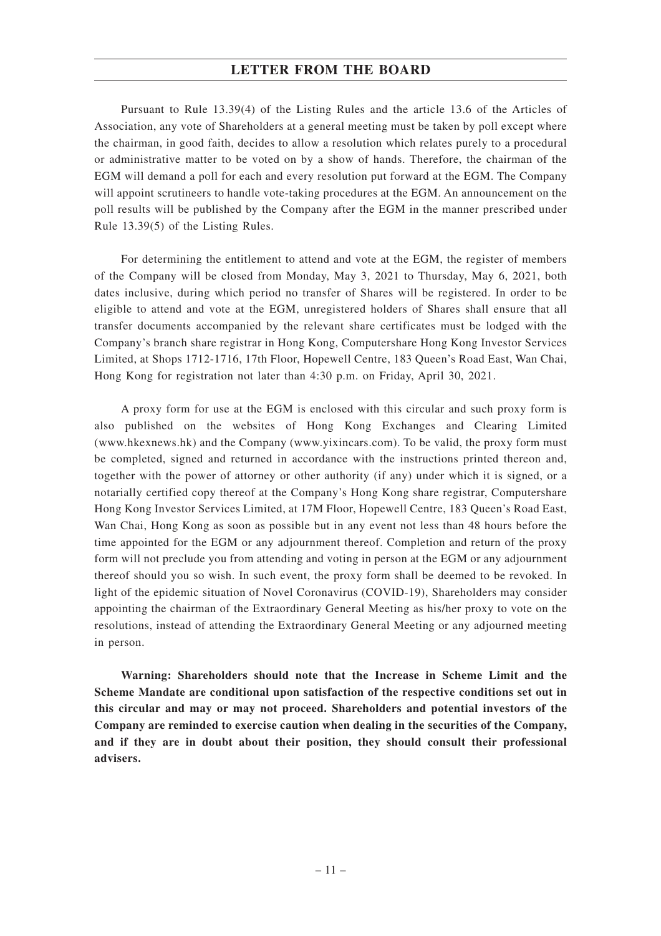Pursuant to Rule 13.39(4) of the Listing Rules and the article 13.6 of the Articles of Association, any vote of Shareholders at a general meeting must be taken by poll except where the chairman, in good faith, decides to allow a resolution which relates purely to a procedural or administrative matter to be voted on by a show of hands. Therefore, the chairman of the EGM will demand a poll for each and every resolution put forward at the EGM. The Company will appoint scrutineers to handle vote-taking procedures at the EGM. An announcement on the poll results will be published by the Company after the EGM in the manner prescribed under Rule 13.39(5) of the Listing Rules.

For determining the entitlement to attend and vote at the EGM, the register of members of the Company will be closed from Monday, May 3, 2021 to Thursday, May 6, 2021, both dates inclusive, during which period no transfer of Shares will be registered. In order to be eligible to attend and vote at the EGM, unregistered holders of Shares shall ensure that all transfer documents accompanied by the relevant share certificates must be lodged with the Company's branch share registrar in Hong Kong, Computershare Hong Kong Investor Services Limited, at Shops 1712-1716, 17th Floor, Hopewell Centre, 183 Queen's Road East, Wan Chai, Hong Kong for registration not later than 4:30 p.m. on Friday, April 30, 2021.

A proxy form for use at the EGM is enclosed with this circular and such proxy form is also published on the websites of Hong Kong Exchanges and Clearing Limited (www.hkexnews.hk) and the Company (www.yixincars.com). To be valid, the proxy form must be completed, signed and returned in accordance with the instructions printed thereon and, together with the power of attorney or other authority (if any) under which it is signed, or a notarially certified copy thereof at the Company's Hong Kong share registrar, Computershare Hong Kong Investor Services Limited, at 17M Floor, Hopewell Centre, 183 Queen's Road East, Wan Chai, Hong Kong as soon as possible but in any event not less than 48 hours before the time appointed for the EGM or any adjournment thereof. Completion and return of the proxy form will not preclude you from attending and voting in person at the EGM or any adjournment thereof should you so wish. In such event, the proxy form shall be deemed to be revoked. In light of the epidemic situation of Novel Coronavirus (COVID-19), Shareholders may consider appointing the chairman of the Extraordinary General Meeting as his/her proxy to vote on the resolutions, instead of attending the Extraordinary General Meeting or any adjourned meeting in person.

**Warning: Shareholders should note that the Increase in Scheme Limit and the Scheme Mandate are conditional upon satisfaction of the respective conditions set out in this circular and may or may not proceed. Shareholders and potential investors of the Company are reminded to exercise caution when dealing in the securities of the Company, and if they are in doubt about their position, they should consult their professional advisers.**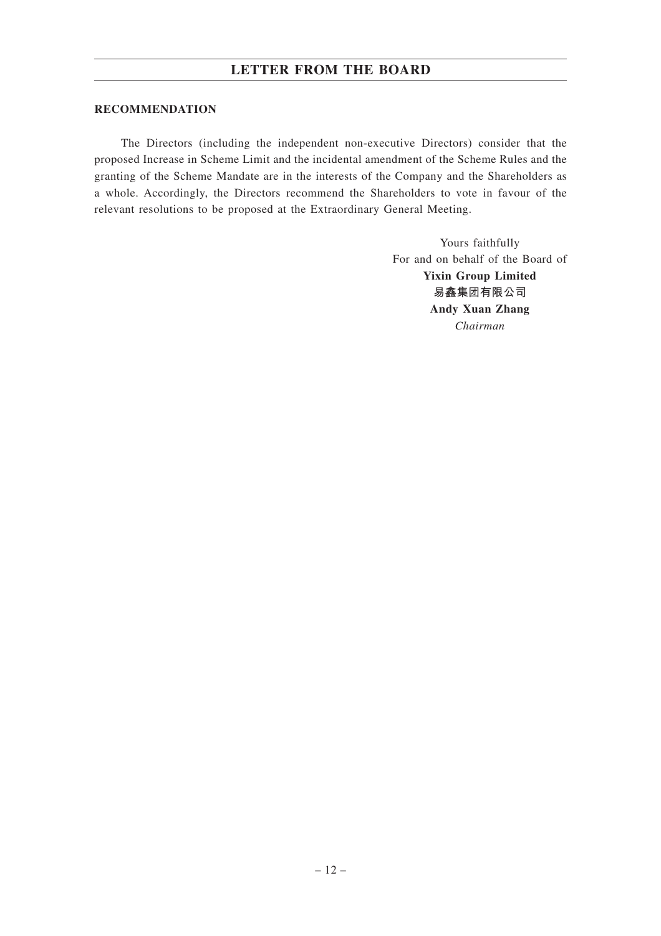### **RECOMMENDATION**

The Directors (including the independent non-executive Directors) consider that the proposed Increase in Scheme Limit and the incidental amendment of the Scheme Rules and the granting of the Scheme Mandate are in the interests of the Company and the Shareholders as a whole. Accordingly, the Directors recommend the Shareholders to vote in favour of the relevant resolutions to be proposed at the Extraordinary General Meeting.

> Yours faithfully For and on behalf of the Board of **Yixin Group Limited 易鑫集團有限公司 Andy Xuan Zhang** *Chairman*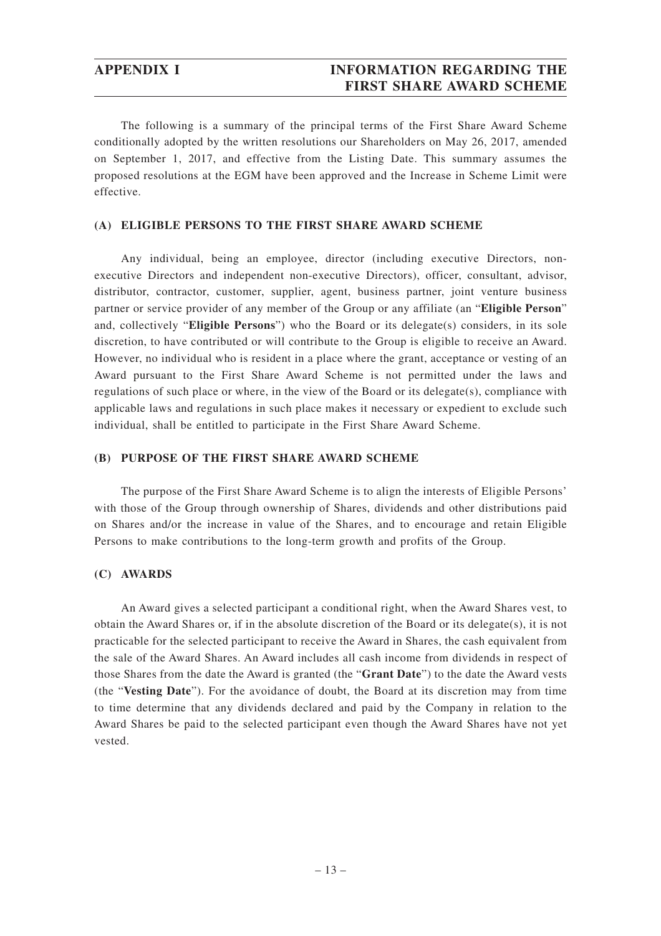## **APPENDIX I INFORMATION REGARDING THE FIRST SHARE AWARD SCHEME**

The following is a summary of the principal terms of the First Share Award Scheme conditionally adopted by the written resolutions our Shareholders on May 26, 2017, amended on September 1, 2017, and effective from the Listing Date. This summary assumes the proposed resolutions at the EGM have been approved and the Increase in Scheme Limit were effective.

#### **(A) ELIGIBLE PERSONS TO THE FIRST SHARE AWARD SCHEME**

Any individual, being an employee, director (including executive Directors, nonexecutive Directors and independent non-executive Directors), officer, consultant, advisor, distributor, contractor, customer, supplier, agent, business partner, joint venture business partner or service provider of any member of the Group or any affiliate (an "**Eligible Person**" and, collectively "**Eligible Persons**") who the Board or its delegate(s) considers, in its sole discretion, to have contributed or will contribute to the Group is eligible to receive an Award. However, no individual who is resident in a place where the grant, acceptance or vesting of an Award pursuant to the First Share Award Scheme is not permitted under the laws and regulations of such place or where, in the view of the Board or its delegate(s), compliance with applicable laws and regulations in such place makes it necessary or expedient to exclude such individual, shall be entitled to participate in the First Share Award Scheme.

### **(B) PURPOSE OF THE FIRST SHARE AWARD SCHEME**

The purpose of the First Share Award Scheme is to align the interests of Eligible Persons' with those of the Group through ownership of Shares, dividends and other distributions paid on Shares and/or the increase in value of the Shares, and to encourage and retain Eligible Persons to make contributions to the long-term growth and profits of the Group.

### **(C) AWARDS**

An Award gives a selected participant a conditional right, when the Award Shares vest, to obtain the Award Shares or, if in the absolute discretion of the Board or its delegate(s), it is not practicable for the selected participant to receive the Award in Shares, the cash equivalent from the sale of the Award Shares. An Award includes all cash income from dividends in respect of those Shares from the date the Award is granted (the "**Grant Date**") to the date the Award vests (the "**Vesting Date**"). For the avoidance of doubt, the Board at its discretion may from time to time determine that any dividends declared and paid by the Company in relation to the Award Shares be paid to the selected participant even though the Award Shares have not yet vested.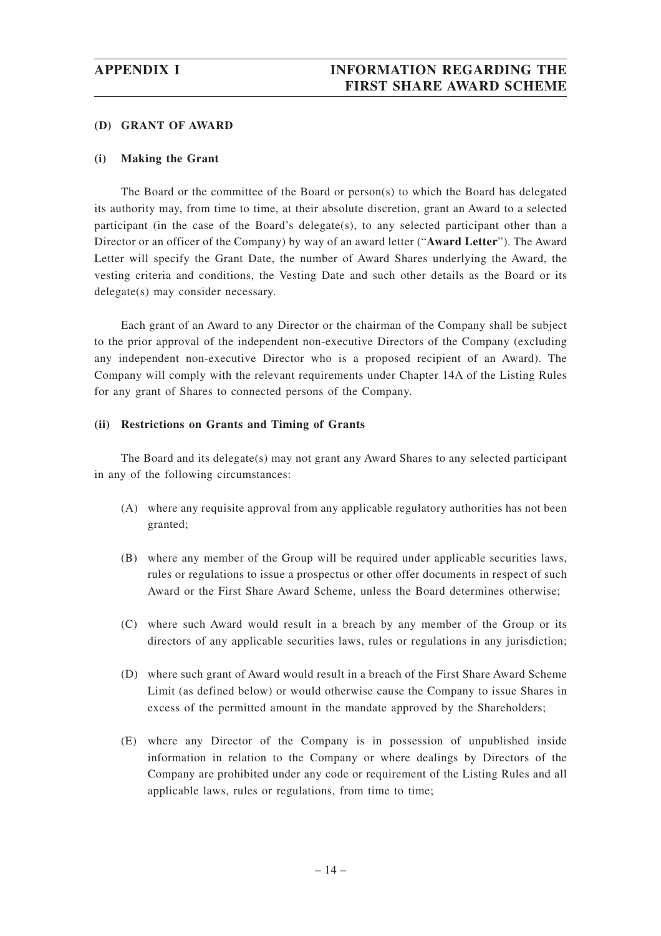#### **(D) GRANT OF AWARD**

#### **(i) Making the Grant**

The Board or the committee of the Board or person(s) to which the Board has delegated its authority may, from time to time, at their absolute discretion, grant an Award to a selected participant (in the case of the Board's delegate(s), to any selected participant other than a Director or an officer of the Company) by way of an award letter ("**Award Letter**"). The Award Letter will specify the Grant Date, the number of Award Shares underlying the Award, the vesting criteria and conditions, the Vesting Date and such other details as the Board or its delegate(s) may consider necessary.

Each grant of an Award to any Director or the chairman of the Company shall be subject to the prior approval of the independent non-executive Directors of the Company (excluding any independent non-executive Director who is a proposed recipient of an Award). The Company will comply with the relevant requirements under Chapter 14A of the Listing Rules for any grant of Shares to connected persons of the Company.

#### **(ii) Restrictions on Grants and Timing of Grants**

The Board and its delegate(s) may not grant any Award Shares to any selected participant in any of the following circumstances:

- (A) where any requisite approval from any applicable regulatory authorities has not been granted;
- (B) where any member of the Group will be required under applicable securities laws, rules or regulations to issue a prospectus or other offer documents in respect of such Award or the First Share Award Scheme, unless the Board determines otherwise;
- (C) where such Award would result in a breach by any member of the Group or its directors of any applicable securities laws, rules or regulations in any jurisdiction;
- (D) where such grant of Award would result in a breach of the First Share Award Scheme Limit (as defined below) or would otherwise cause the Company to issue Shares in excess of the permitted amount in the mandate approved by the Shareholders;
- (E) where any Director of the Company is in possession of unpublished inside information in relation to the Company or where dealings by Directors of the Company are prohibited under any code or requirement of the Listing Rules and all applicable laws, rules or regulations, from time to time;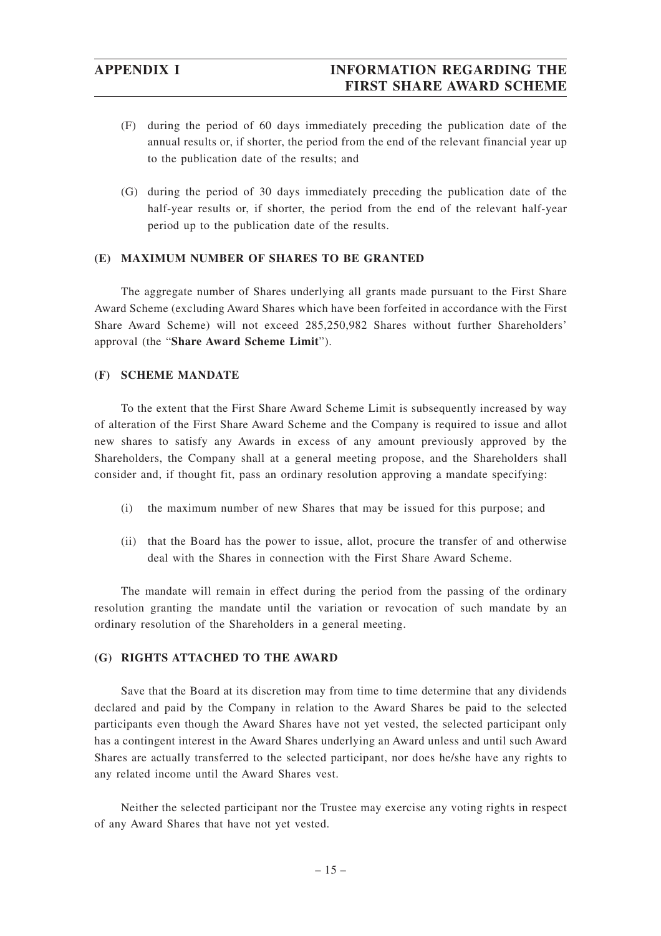## **APPENDIX I INFORMATION REGARDING THE FIRST SHARE AWARD SCHEME**

- (F) during the period of 60 days immediately preceding the publication date of the annual results or, if shorter, the period from the end of the relevant financial year up to the publication date of the results; and
- (G) during the period of 30 days immediately preceding the publication date of the half-year results or, if shorter, the period from the end of the relevant half-year period up to the publication date of the results.

#### **(E) MAXIMUM NUMBER OF SHARES TO BE GRANTED**

The aggregate number of Shares underlying all grants made pursuant to the First Share Award Scheme (excluding Award Shares which have been forfeited in accordance with the First Share Award Scheme) will not exceed 285,250,982 Shares without further Shareholders' approval (the "**Share Award Scheme Limit**").

#### **(F) SCHEME MANDATE**

To the extent that the First Share Award Scheme Limit is subsequently increased by way of alteration of the First Share Award Scheme and the Company is required to issue and allot new shares to satisfy any Awards in excess of any amount previously approved by the Shareholders, the Company shall at a general meeting propose, and the Shareholders shall consider and, if thought fit, pass an ordinary resolution approving a mandate specifying:

- (i) the maximum number of new Shares that may be issued for this purpose; and
- (ii) that the Board has the power to issue, allot, procure the transfer of and otherwise deal with the Shares in connection with the First Share Award Scheme.

The mandate will remain in effect during the period from the passing of the ordinary resolution granting the mandate until the variation or revocation of such mandate by an ordinary resolution of the Shareholders in a general meeting.

#### **(G) RIGHTS ATTACHED TO THE AWARD**

Save that the Board at its discretion may from time to time determine that any dividends declared and paid by the Company in relation to the Award Shares be paid to the selected participants even though the Award Shares have not yet vested, the selected participant only has a contingent interest in the Award Shares underlying an Award unless and until such Award Shares are actually transferred to the selected participant, nor does he/she have any rights to any related income until the Award Shares vest.

Neither the selected participant nor the Trustee may exercise any voting rights in respect of any Award Shares that have not yet vested.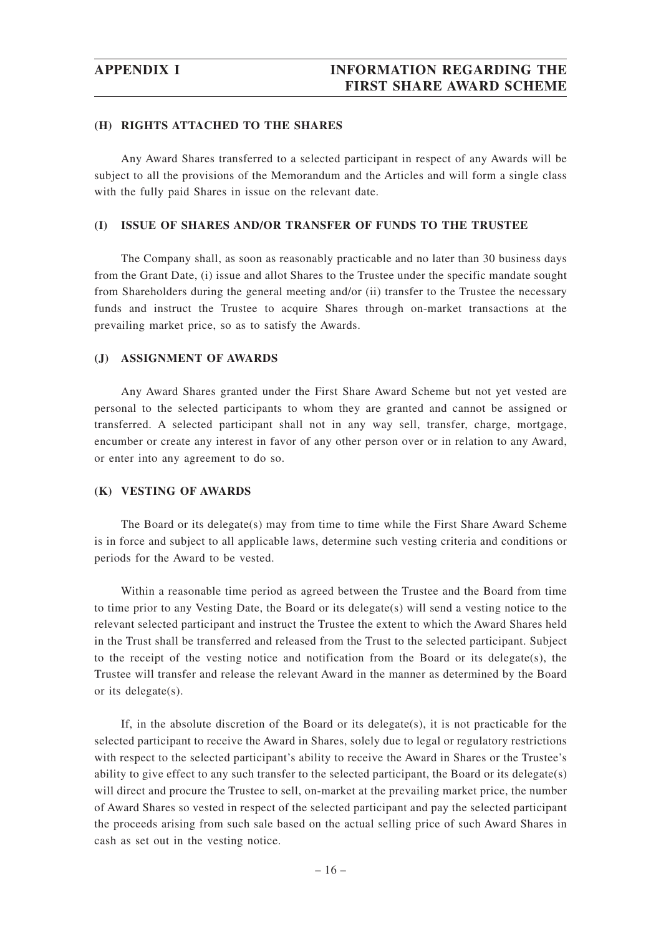#### **(H) RIGHTS ATTACHED TO THE SHARES**

Any Award Shares transferred to a selected participant in respect of any Awards will be subject to all the provisions of the Memorandum and the Articles and will form a single class with the fully paid Shares in issue on the relevant date.

#### **(I) ISSUE OF SHARES AND/OR TRANSFER OF FUNDS TO THE TRUSTEE**

The Company shall, as soon as reasonably practicable and no later than 30 business days from the Grant Date, (i) issue and allot Shares to the Trustee under the specific mandate sought from Shareholders during the general meeting and/or (ii) transfer to the Trustee the necessary funds and instruct the Trustee to acquire Shares through on-market transactions at the prevailing market price, so as to satisfy the Awards.

#### **(J) ASSIGNMENT OF AWARDS**

Any Award Shares granted under the First Share Award Scheme but not yet vested are personal to the selected participants to whom they are granted and cannot be assigned or transferred. A selected participant shall not in any way sell, transfer, charge, mortgage, encumber or create any interest in favor of any other person over or in relation to any Award, or enter into any agreement to do so.

#### **(K) VESTING OF AWARDS**

The Board or its delegate(s) may from time to time while the First Share Award Scheme is in force and subject to all applicable laws, determine such vesting criteria and conditions or periods for the Award to be vested.

Within a reasonable time period as agreed between the Trustee and the Board from time to time prior to any Vesting Date, the Board or its delegate(s) will send a vesting notice to the relevant selected participant and instruct the Trustee the extent to which the Award Shares held in the Trust shall be transferred and released from the Trust to the selected participant. Subject to the receipt of the vesting notice and notification from the Board or its delegate(s), the Trustee will transfer and release the relevant Award in the manner as determined by the Board or its delegate(s).

If, in the absolute discretion of the Board or its delegate(s), it is not practicable for the selected participant to receive the Award in Shares, solely due to legal or regulatory restrictions with respect to the selected participant's ability to receive the Award in Shares or the Trustee's ability to give effect to any such transfer to the selected participant, the Board or its delegate(s) will direct and procure the Trustee to sell, on-market at the prevailing market price, the number of Award Shares so vested in respect of the selected participant and pay the selected participant the proceeds arising from such sale based on the actual selling price of such Award Shares in cash as set out in the vesting notice.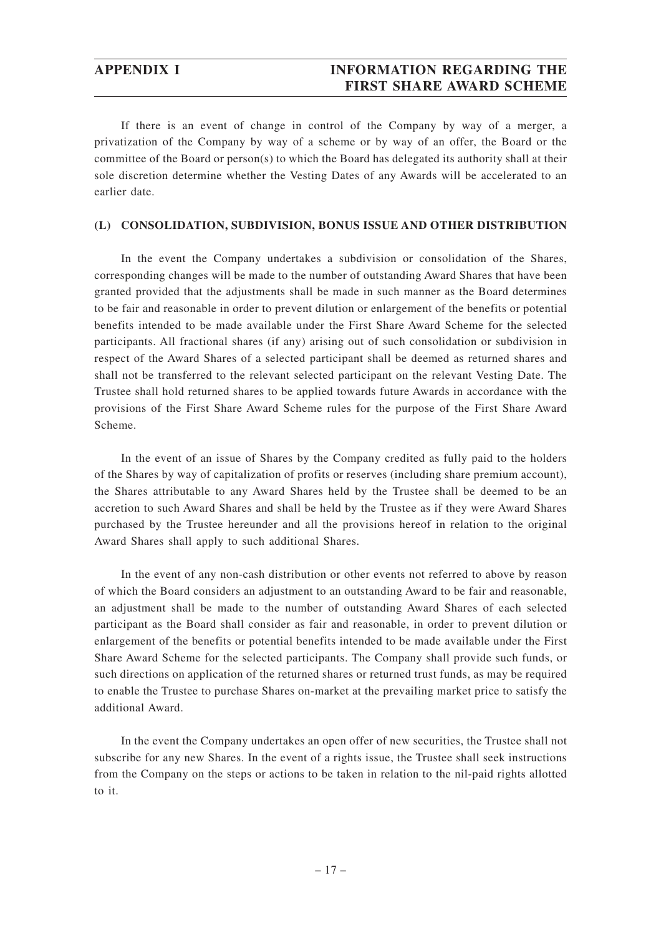## **APPENDIX I INFORMATION REGARDING THE FIRST SHARE AWARD SCHEME**

If there is an event of change in control of the Company by way of a merger, a privatization of the Company by way of a scheme or by way of an offer, the Board or the committee of the Board or person(s) to which the Board has delegated its authority shall at their sole discretion determine whether the Vesting Dates of any Awards will be accelerated to an earlier date.

#### **(L) CONSOLIDATION, SUBDIVISION, BONUS ISSUE AND OTHER DISTRIBUTION**

In the event the Company undertakes a subdivision or consolidation of the Shares, corresponding changes will be made to the number of outstanding Award Shares that have been granted provided that the adjustments shall be made in such manner as the Board determines to be fair and reasonable in order to prevent dilution or enlargement of the benefits or potential benefits intended to be made available under the First Share Award Scheme for the selected participants. All fractional shares (if any) arising out of such consolidation or subdivision in respect of the Award Shares of a selected participant shall be deemed as returned shares and shall not be transferred to the relevant selected participant on the relevant Vesting Date. The Trustee shall hold returned shares to be applied towards future Awards in accordance with the provisions of the First Share Award Scheme rules for the purpose of the First Share Award Scheme.

In the event of an issue of Shares by the Company credited as fully paid to the holders of the Shares by way of capitalization of profits or reserves (including share premium account), the Shares attributable to any Award Shares held by the Trustee shall be deemed to be an accretion to such Award Shares and shall be held by the Trustee as if they were Award Shares purchased by the Trustee hereunder and all the provisions hereof in relation to the original Award Shares shall apply to such additional Shares.

In the event of any non-cash distribution or other events not referred to above by reason of which the Board considers an adjustment to an outstanding Award to be fair and reasonable, an adjustment shall be made to the number of outstanding Award Shares of each selected participant as the Board shall consider as fair and reasonable, in order to prevent dilution or enlargement of the benefits or potential benefits intended to be made available under the First Share Award Scheme for the selected participants. The Company shall provide such funds, or such directions on application of the returned shares or returned trust funds, as may be required to enable the Trustee to purchase Shares on-market at the prevailing market price to satisfy the additional Award.

In the event the Company undertakes an open offer of new securities, the Trustee shall not subscribe for any new Shares. In the event of a rights issue, the Trustee shall seek instructions from the Company on the steps or actions to be taken in relation to the nil-paid rights allotted to it.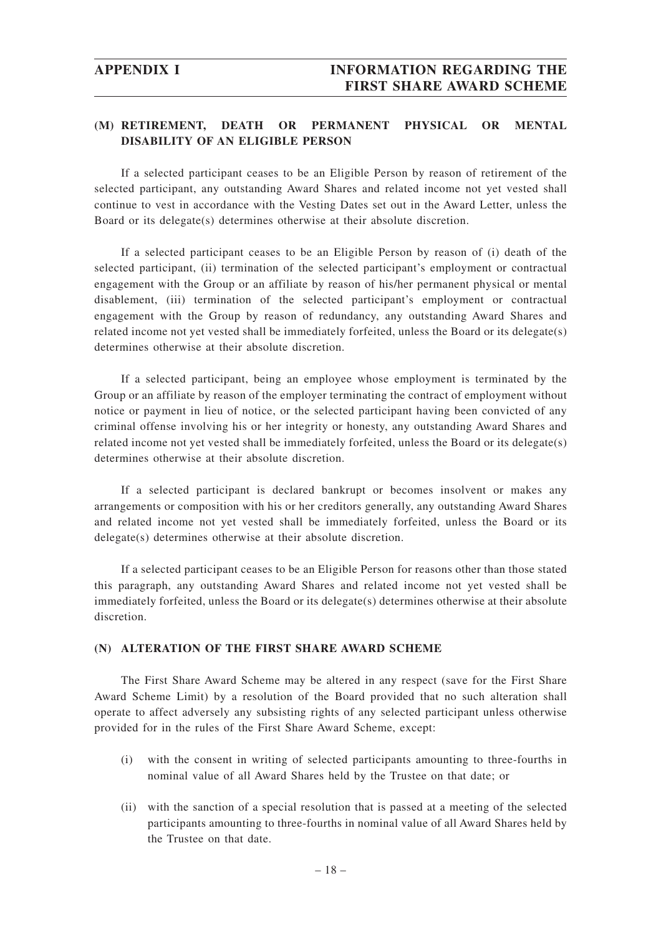## **(M) RETIREMENT, DEATH OR PERMANENT PHYSICAL OR MENTAL DISABILITY OF AN ELIGIBLE PERSON**

If a selected participant ceases to be an Eligible Person by reason of retirement of the selected participant, any outstanding Award Shares and related income not yet vested shall continue to vest in accordance with the Vesting Dates set out in the Award Letter, unless the Board or its delegate(s) determines otherwise at their absolute discretion.

If a selected participant ceases to be an Eligible Person by reason of (i) death of the selected participant, (ii) termination of the selected participant's employment or contractual engagement with the Group or an affiliate by reason of his/her permanent physical or mental disablement, (iii) termination of the selected participant's employment or contractual engagement with the Group by reason of redundancy, any outstanding Award Shares and related income not yet vested shall be immediately forfeited, unless the Board or its delegate(s) determines otherwise at their absolute discretion.

If a selected participant, being an employee whose employment is terminated by the Group or an affiliate by reason of the employer terminating the contract of employment without notice or payment in lieu of notice, or the selected participant having been convicted of any criminal offense involving his or her integrity or honesty, any outstanding Award Shares and related income not yet vested shall be immediately forfeited, unless the Board or its delegate(s) determines otherwise at their absolute discretion.

If a selected participant is declared bankrupt or becomes insolvent or makes any arrangements or composition with his or her creditors generally, any outstanding Award Shares and related income not yet vested shall be immediately forfeited, unless the Board or its delegate(s) determines otherwise at their absolute discretion.

If a selected participant ceases to be an Eligible Person for reasons other than those stated this paragraph, any outstanding Award Shares and related income not yet vested shall be immediately forfeited, unless the Board or its delegate(s) determines otherwise at their absolute discretion.

#### **(N) ALTERATION OF THE FIRST SHARE AWARD SCHEME**

The First Share Award Scheme may be altered in any respect (save for the First Share Award Scheme Limit) by a resolution of the Board provided that no such alteration shall operate to affect adversely any subsisting rights of any selected participant unless otherwise provided for in the rules of the First Share Award Scheme, except:

- (i) with the consent in writing of selected participants amounting to three-fourths in nominal value of all Award Shares held by the Trustee on that date; or
- (ii) with the sanction of a special resolution that is passed at a meeting of the selected participants amounting to three-fourths in nominal value of all Award Shares held by the Trustee on that date.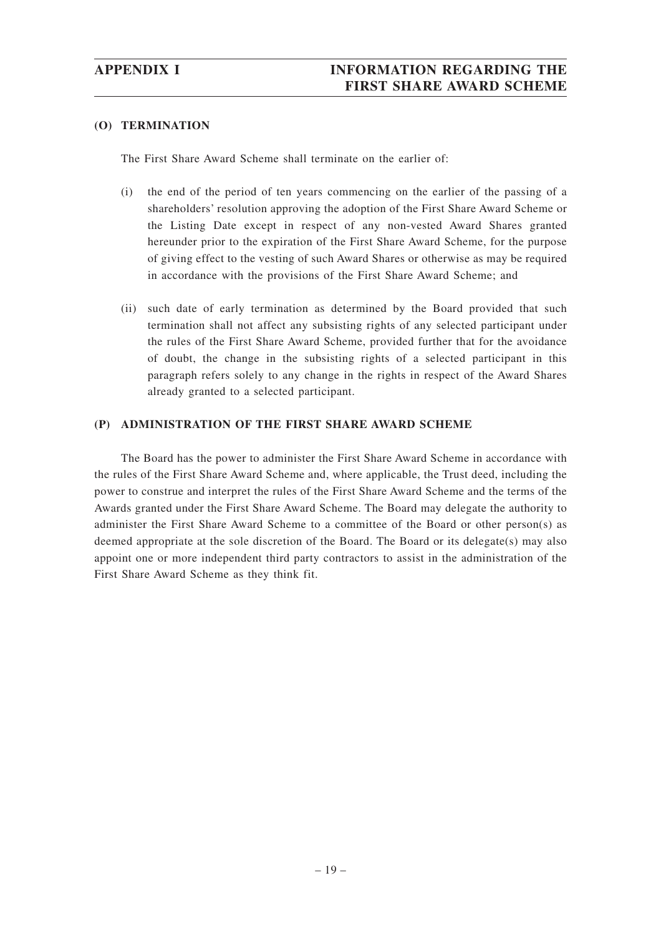#### **(O) TERMINATION**

The First Share Award Scheme shall terminate on the earlier of:

- (i) the end of the period of ten years commencing on the earlier of the passing of a shareholders' resolution approving the adoption of the First Share Award Scheme or the Listing Date except in respect of any non-vested Award Shares granted hereunder prior to the expiration of the First Share Award Scheme, for the purpose of giving effect to the vesting of such Award Shares or otherwise as may be required in accordance with the provisions of the First Share Award Scheme; and
- (ii) such date of early termination as determined by the Board provided that such termination shall not affect any subsisting rights of any selected participant under the rules of the First Share Award Scheme, provided further that for the avoidance of doubt, the change in the subsisting rights of a selected participant in this paragraph refers solely to any change in the rights in respect of the Award Shares already granted to a selected participant.

### **(P) ADMINISTRATION OF THE FIRST SHARE AWARD SCHEME**

The Board has the power to administer the First Share Award Scheme in accordance with the rules of the First Share Award Scheme and, where applicable, the Trust deed, including the power to construe and interpret the rules of the First Share Award Scheme and the terms of the Awards granted under the First Share Award Scheme. The Board may delegate the authority to administer the First Share Award Scheme to a committee of the Board or other person(s) as deemed appropriate at the sole discretion of the Board. The Board or its delegate(s) may also appoint one or more independent third party contractors to assist in the administration of the First Share Award Scheme as they think fit.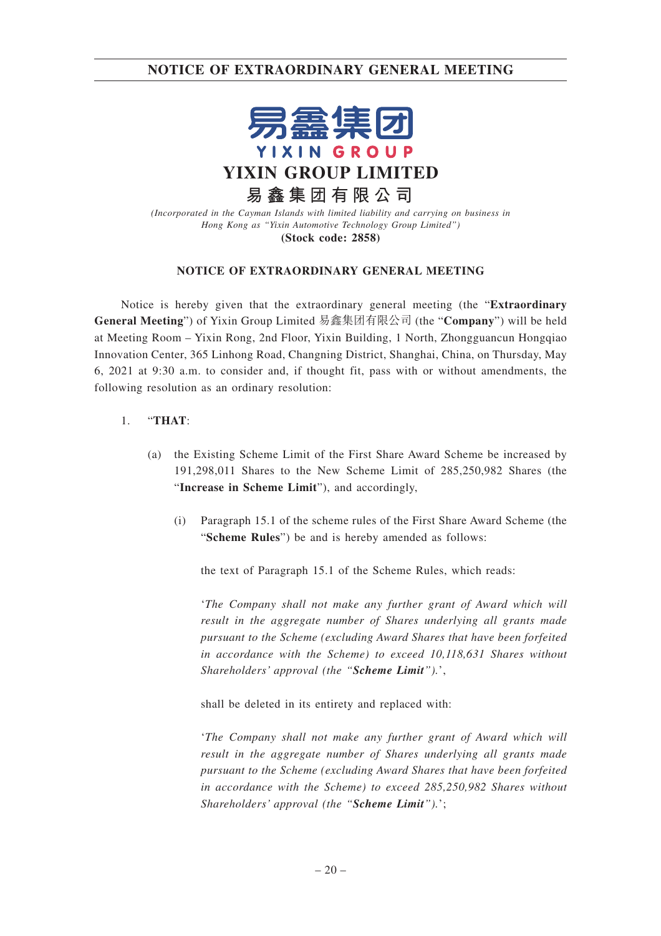

*(Incorporated in the Cayman Islands with limited liability and carrying on business in Hong Kong as "Yixin Automotive Technology Group Limited")* **(Stock code: 2858)**

#### **NOTICE OF EXTRAORDINARY GENERAL MEETING**

Notice is hereby given that the extraordinary general meeting (the "**Extraordinary General Meeting**") of Yixin Group Limited 易鑫集團有限公司 (the "**Company**") will be held at Meeting Room – Yixin Rong, 2nd Floor, Yixin Building, 1 North, Zhongguancun Hongqiao Innovation Center, 365 Linhong Road, Changning District, Shanghai, China, on Thursday, May 6, 2021 at 9:30 a.m. to consider and, if thought fit, pass with or without amendments, the following resolution as an ordinary resolution:

### 1. "**THAT**:

- (a) the Existing Scheme Limit of the First Share Award Scheme be increased by 191,298,011 Shares to the New Scheme Limit of 285,250,982 Shares (the "**Increase in Scheme Limit**"), and accordingly,
	- (i) Paragraph 15.1 of the scheme rules of the First Share Award Scheme (the "**Scheme Rules**") be and is hereby amended as follows:

the text of Paragraph 15.1 of the Scheme Rules, which reads:

'*The Company shall not make any further grant of Award which will result in the aggregate number of Shares underlying all grants made pursuant to the Scheme (excluding Award Shares that have been forfeited in accordance with the Scheme) to exceed 10,118,631 Shares without Shareholders' approval (the "Scheme Limit").*',

shall be deleted in its entirety and replaced with:

'*The Company shall not make any further grant of Award which will result in the aggregate number of Shares underlying all grants made pursuant to the Scheme (excluding Award Shares that have been forfeited in accordance with the Scheme) to exceed 285,250,982 Shares without Shareholders' approval (the "Scheme Limit").*';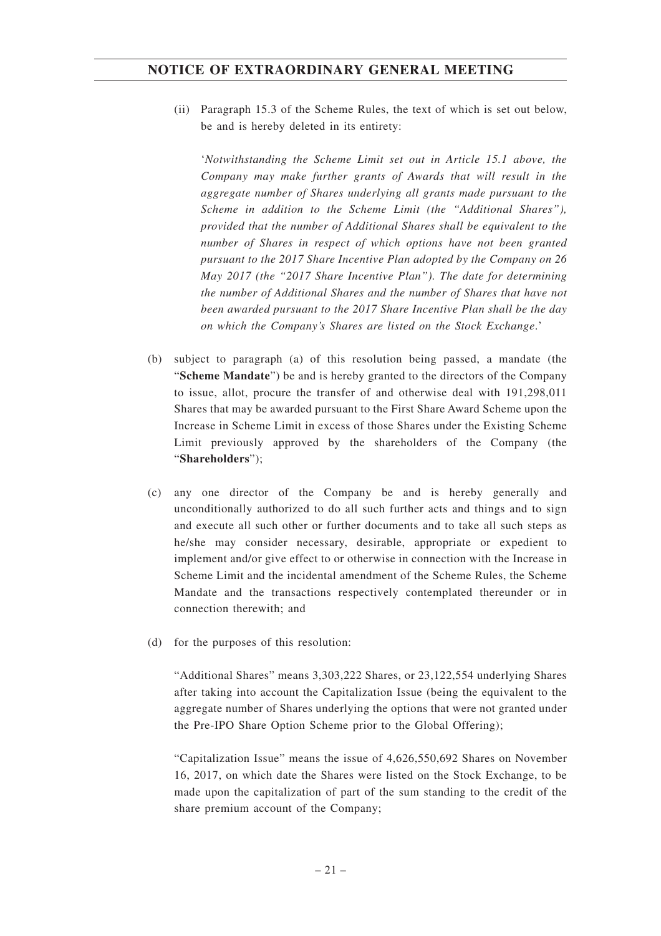(ii) Paragraph 15.3 of the Scheme Rules, the text of which is set out below, be and is hereby deleted in its entirety:

'*Notwithstanding the Scheme Limit set out in Article 15.1 above, the Company may make further grants of Awards that will result in the aggregate number of Shares underlying all grants made pursuant to the Scheme in addition to the Scheme Limit (the "Additional Shares"), provided that the number of Additional Shares shall be equivalent to the number of Shares in respect of which options have not been granted pursuant to the 2017 Share Incentive Plan adopted by the Company on 26 May 2017 (the "2017 Share Incentive Plan"). The date for determining the number of Additional Shares and the number of Shares that have not been awarded pursuant to the 2017 Share Incentive Plan shall be the day on which the Company's Shares are listed on the Stock Exchange*.'

- (b) subject to paragraph (a) of this resolution being passed, a mandate (the "**Scheme Mandate**") be and is hereby granted to the directors of the Company to issue, allot, procure the transfer of and otherwise deal with 191,298,011 Shares that may be awarded pursuant to the First Share Award Scheme upon the Increase in Scheme Limit in excess of those Shares under the Existing Scheme Limit previously approved by the shareholders of the Company (the "**Shareholders**");
- (c) any one director of the Company be and is hereby generally and unconditionally authorized to do all such further acts and things and to sign and execute all such other or further documents and to take all such steps as he/she may consider necessary, desirable, appropriate or expedient to implement and/or give effect to or otherwise in connection with the Increase in Scheme Limit and the incidental amendment of the Scheme Rules, the Scheme Mandate and the transactions respectively contemplated thereunder or in connection therewith; and
- (d) for the purposes of this resolution:

"Additional Shares" means 3,303,222 Shares, or 23,122,554 underlying Shares after taking into account the Capitalization Issue (being the equivalent to the aggregate number of Shares underlying the options that were not granted under the Pre-IPO Share Option Scheme prior to the Global Offering);

"Capitalization Issue" means the issue of 4,626,550,692 Shares on November 16, 2017, on which date the Shares were listed on the Stock Exchange, to be made upon the capitalization of part of the sum standing to the credit of the share premium account of the Company;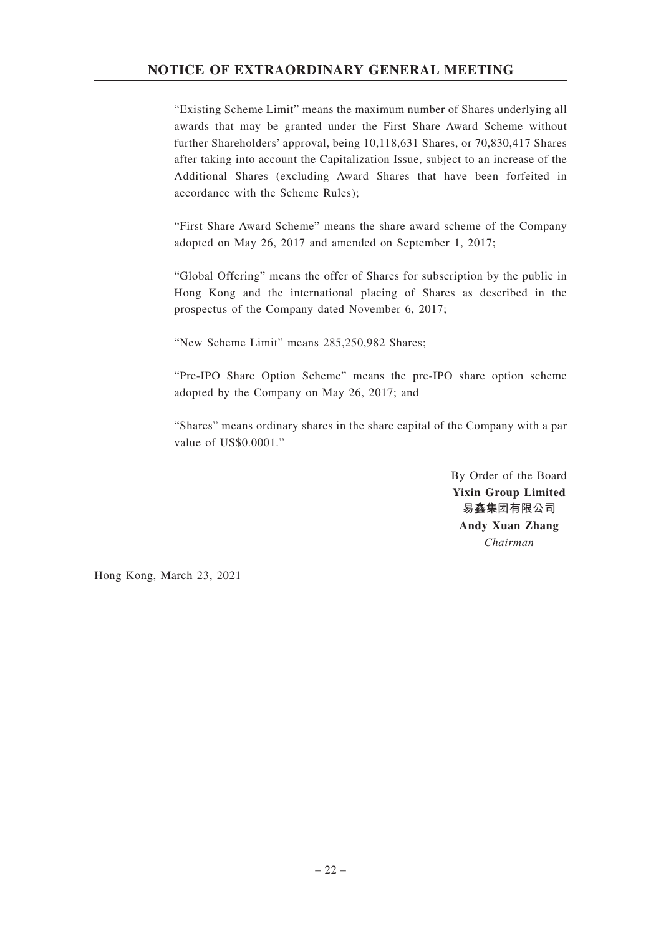"Existing Scheme Limit" means the maximum number of Shares underlying all awards that may be granted under the First Share Award Scheme without further Shareholders' approval, being 10,118,631 Shares, or 70,830,417 Shares after taking into account the Capitalization Issue, subject to an increase of the Additional Shares (excluding Award Shares that have been forfeited in accordance with the Scheme Rules);

"First Share Award Scheme" means the share award scheme of the Company adopted on May 26, 2017 and amended on September 1, 2017;

"Global Offering" means the offer of Shares for subscription by the public in Hong Kong and the international placing of Shares as described in the prospectus of the Company dated November 6, 2017;

"New Scheme Limit" means 285,250,982 Shares;

"Pre-IPO Share Option Scheme" means the pre-IPO share option scheme adopted by the Company on May 26, 2017; and

"Shares" means ordinary shares in the share capital of the Company with a par value of US\$0.0001."

> By Order of the Board **Yixin Group Limited 易鑫集團有限公司 Andy Xuan Zhang** *Chairman*

Hong Kong, March 23, 2021